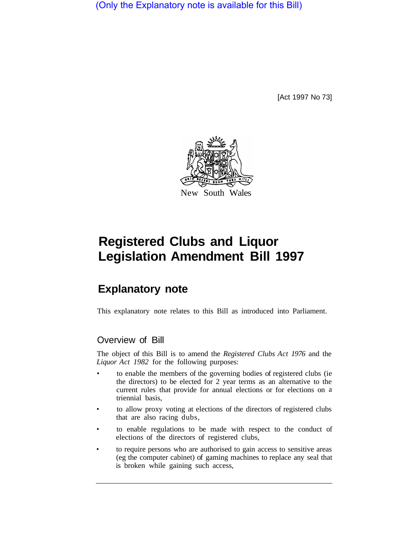(Only the Explanatory note is available for this Bill)

[Act 1997 No 73]



# **Registered Clubs and Liquor Legislation Amendment Bill 1997**

# **Explanatory note**

This explanatory note relates to this Bill as introduced into Parliament.

# Overview of Bill

The object of this Bill is to amend the *Registered Clubs Act 1976* and the *Liquor Act 1982* for the following purposes:

- to enable the members of the governing bodies of registered clubs (ie the directors) to be elected for 2 year terms as an alternative to the current rules that provide for annual elections or for elections on a triennial basis,
- to allow proxy voting at elections of the directors of registered clubs that are also racing dubs,
- to enable regulations to be made with respect to the conduct of elections of the directors of registered clubs,
- to require persons who are authorised to gain access to sensitive areas (eg the computer cabinet) of gaming machines to replace any seal that is broken while gaining such access,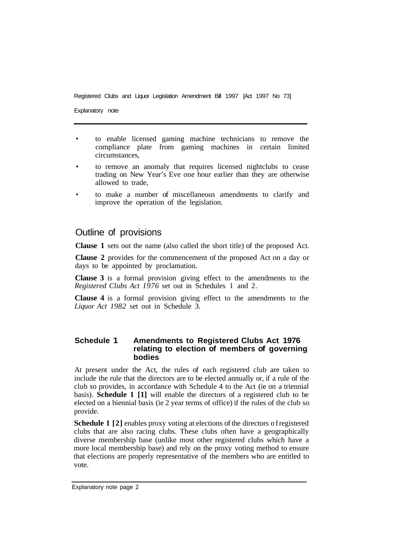Registered Clubs and Liquor Legislation Amendment Bill 1997 [Act 1997 No 73]

Explanatory note

- to enable licensed gaming machine technicians to remove the compliance plate from gaming machines in certain limited circumstances,
- to remove an anomaly that requires licensed nightclubs to cease trading on New Year's Eve one hour earlier than they are otherwise allowed to trade,
- to make a number of miscellaneous amendments to clarify and improve the operation of the legislation.

## Outline of provisions

**Clause 1** sets out the name (also called the short title) of the proposed Act.

**Clause 2** provides for the commencement of the proposed Act on a day or days to be appointed by proclamation.

**Clause 3** is a formal provision giving effect to the amendments to the *Registered Clubs Act 1976* set out in Schedules 1 and 2.

**Clause 4** is a formal provision giving effect to the amendments to the *Liquor Act 1982* set out in Schedule 3.

#### **Schedule 1 Amendments to Registered Clubs Act 1976 relating to election of members of governing bodies**

At present under the Act, the rules of each registered club are taken to include the rule that the directors are to be elected annually or, if a rule of the club so provides, in accordance with Schedule 4 to the Act (ie on a triennial basis). **Schedule 1 [1]** will enable the directors of a registered club to be elected on a biennial basis (ie 2 year terms of office) if the rules of the club so provide.

**Schedule 1 [2]** enables proxy voting at elections of the directors of registered clubs that are also racing clubs. These clubs often have a geographically diverse membership base (unlike most other registered clubs which have a more local membership base) and rely on the proxy voting method to ensure that elections are properly representative of the members who are entitled to vote.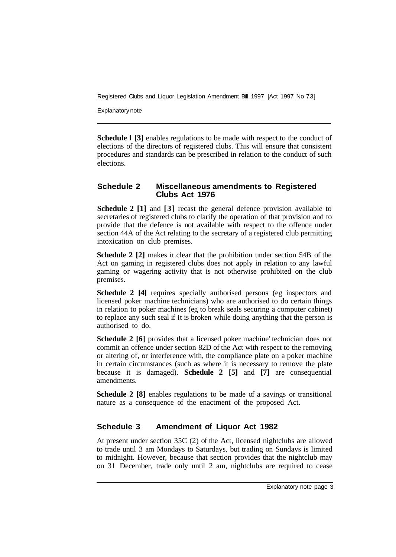Registered Clubs and Liquor Legislation Amendment Bill 1997 [Act 1997 No 73]

Explanatory note

**Schedule I [3] enables regulations to be made with respect to the conduct of** elections of the directors of registered clubs. This will ensure that consistent procedures and standards can be prescribed in relation to the conduct of such elections.

#### **Schedule 2 Miscellaneous amendments to Registered Clubs Act 1976**

**Schedule 2 [1]** and **[3]** recast the general defence provision available to secretaries of registered clubs to clarify the operation of that provision and to provide that the defence is not available with respect to the offence under section 44A of the Act relating to the secretary of a registered club permitting intoxication on club premises.

**Schedule 2 [2]** makes it clear that the prohibition under section 54B of the Act on gaming in registered clubs does not apply in relation to any lawful gaming or wagering activity that is not otherwise prohibited on the club premises.

**Schedule 2 [4]** requires specially authorised persons (eg inspectors and licensed poker machine technicians) who are authorised to do certain things in relation to poker machines (eg to break seals securing a computer cabinet) to replace any such seal if it is broken while doing anything that the person is authorised to do.

**Schedule 2 [6]** provides that a licensed poker machine' technician does not commit an offence under section 82D of the Act with respect to the removing or altering of, or interference with, the compliance plate on a poker machine in certain circumstances (such as where it is necessary to remove the plate because it is damaged). **Schedule 2 [5]** and **[7]** are consequential amendments.

**Schedule 2 [8]** enables regulations to be made of a savings or transitional nature as a consequence of the enactment of the proposed Act.

### **Schedule 3 Amendment of Liquor Act 1982**

At present under section 35C (2) of the Act, licensed nightclubs are allowed to trade until 3 am Mondays to Saturdays, but trading on Sundays is limited to midnight. However, because that section provides that the nightclub may on 31 December, trade only until 2 am, nightclubs are required to cease